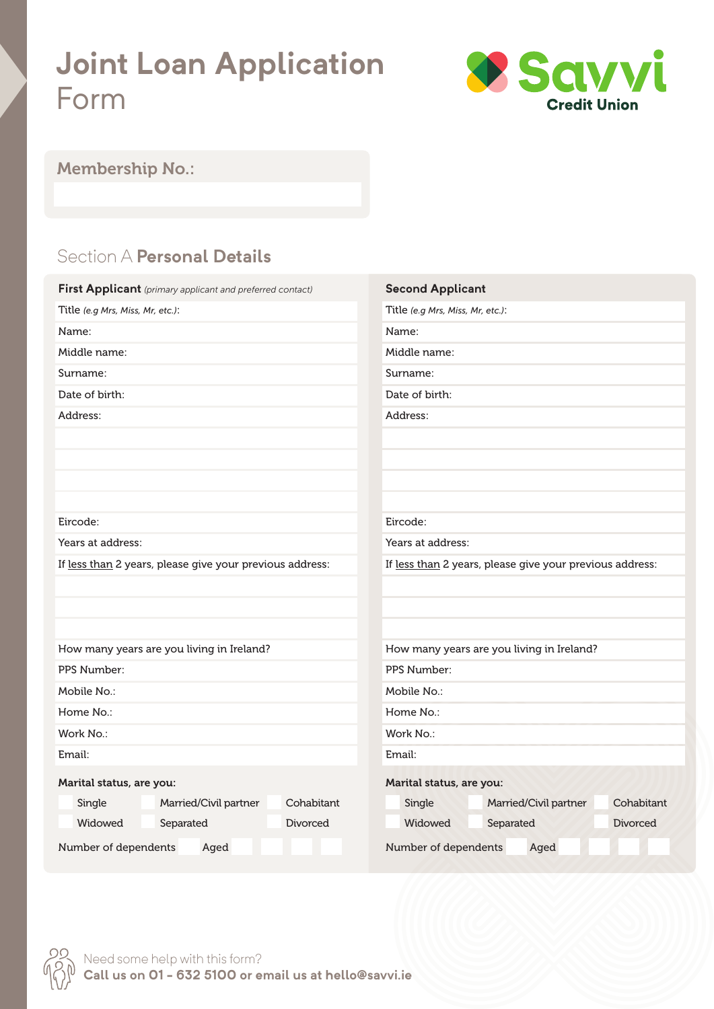# **Joint Loan Application** Form



#### Membership No.:

# Section A **Personal Details**

| First Applicant (primary applicant and preferred contact) | <b>Second Applicant</b>                                  |  |  |  |
|-----------------------------------------------------------|----------------------------------------------------------|--|--|--|
| Title (e.g Mrs, Miss, Mr, etc.):                          | Title (e.g Mrs, Miss, Mr, etc.):                         |  |  |  |
| Name:                                                     | Name:                                                    |  |  |  |
| Middle name:                                              | Middle name:                                             |  |  |  |
| Surname:                                                  | Surname:                                                 |  |  |  |
| Date of birth:                                            | Date of birth:                                           |  |  |  |
| Address:                                                  | Address:                                                 |  |  |  |
|                                                           |                                                          |  |  |  |
|                                                           |                                                          |  |  |  |
|                                                           |                                                          |  |  |  |
|                                                           |                                                          |  |  |  |
| Eircode:                                                  | Eircode:                                                 |  |  |  |
| Years at address:                                         | Years at address:                                        |  |  |  |
| If less than 2 years, please give your previous address:  | If less than 2 years, please give your previous address: |  |  |  |
|                                                           |                                                          |  |  |  |
|                                                           |                                                          |  |  |  |
|                                                           |                                                          |  |  |  |
| How many years are you living in Ireland?                 | How many years are you living in Ireland?                |  |  |  |
| PPS Number:                                               | PPS Number:                                              |  |  |  |
| Mobile No.:                                               | Mobile No.:                                              |  |  |  |
| Home No.:                                                 | Home No.:                                                |  |  |  |
| Work No.:                                                 | Work No.:                                                |  |  |  |
| Email:                                                    | Email:                                                   |  |  |  |
| Marital status, are you:                                  | Marital status, are you:                                 |  |  |  |
| Cohabitant<br>Married/Civil partner<br>Single             | Cohabitant<br>Married/Civil partner<br>Single            |  |  |  |
| Widowed<br>Separated<br><b>Divorced</b>                   | Widowed<br>Separated<br><b>Divorced</b>                  |  |  |  |
|                                                           |                                                          |  |  |  |
| Number of dependents<br>Aged                              | Number of dependents<br>Aged                             |  |  |  |

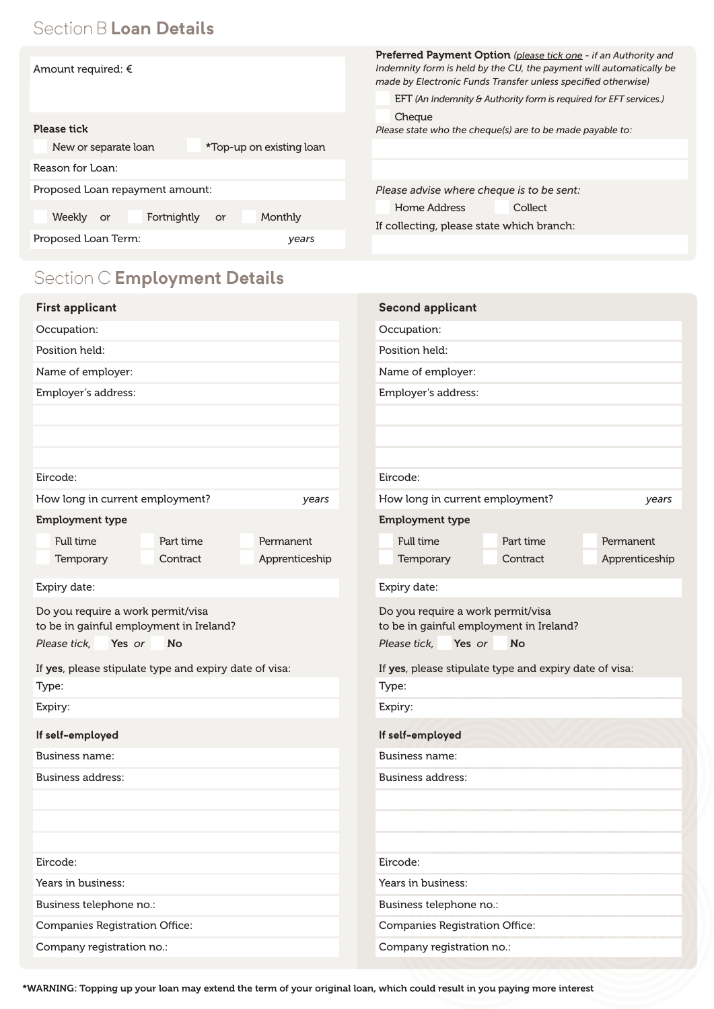## Section B **Loan Details**

|                                                  | <b>Preferred Payment Option</b> (please tick one - if an Authority and                                                               |  |  |  |
|--------------------------------------------------|--------------------------------------------------------------------------------------------------------------------------------------|--|--|--|
| Amount required: €                               | Indemnity form is held by the CU, the payment will automatically be<br>made by Electronic Funds Transfer unless specified otherwise) |  |  |  |
|                                                  | EFT (An Indemnity & Authority form is required for EFT services.)                                                                    |  |  |  |
| <b>Please tick</b>                               | Cheque<br>Please state who the cheque(s) are to be made payable to:                                                                  |  |  |  |
| New or separate loan<br>*Top-up on existing loan |                                                                                                                                      |  |  |  |
| Reason for Loan:                                 |                                                                                                                                      |  |  |  |
| Proposed Loan repayment amount:                  | Please advise where cheque is to be sent:                                                                                            |  |  |  |
| Weekly or<br>Fortnightly<br>Monthly<br>or        | Home Address<br>Collect                                                                                                              |  |  |  |
|                                                  | If collecting, please state which branch:                                                                                            |  |  |  |
| Proposed Loan Term:<br>years                     |                                                                                                                                      |  |  |  |
| Section C Employment Details                     |                                                                                                                                      |  |  |  |
| <b>First applicant</b>                           | <b>Second applicant</b>                                                                                                              |  |  |  |
| Occupation:                                      | Occupation:                                                                                                                          |  |  |  |
| Position held:                                   | Position held:                                                                                                                       |  |  |  |
| Name of employer:                                | Name of employer:                                                                                                                    |  |  |  |

Employer's address:

| Eircode:                                                                     |           |                                                                              | Eircode:     |           |                |
|------------------------------------------------------------------------------|-----------|------------------------------------------------------------------------------|--------------|-----------|----------------|
| How long in current employment?<br>years                                     |           | How long in current employment?                                              |              |           |                |
| <b>Employment type</b>                                                       |           | <b>Employment type</b>                                                       |              |           |                |
| Full time                                                                    | Part time | Permanent                                                                    | Full time    | Part time | Permanent      |
| Temporary                                                                    | Contract  | Apprenticeship                                                               | Temporary    | Contract  | Apprenticeship |
| Expiry date:                                                                 |           |                                                                              | Expiry date: |           |                |
| Do you require a work permit/visa<br>to be in gainful employment in Ireland? |           | Do you require a work permit/visa<br>to be in gainful employment in Ireland? |              |           |                |

Please tick, Yes or *or* No

If yes, please stipulate type and expiry date of visa: Type:

Expiry: **If self-employed** Business name: Business address:

Years in business: Business telephone no.:

Eircode:

Companies Registration Office:

Company registration no.:

Employer's address:

| Do you require a work permit/visa<br>to be in gainful employment in Ireland? |  |  |  |  |  |  |
|------------------------------------------------------------------------------|--|--|--|--|--|--|
| Yes or<br>Please tick,<br>No                                                 |  |  |  |  |  |  |
| If yes, please stipulate type and expiry date of visa:                       |  |  |  |  |  |  |
| Type:                                                                        |  |  |  |  |  |  |
| Expiry:                                                                      |  |  |  |  |  |  |
| If self-employed                                                             |  |  |  |  |  |  |
| Business name:                                                               |  |  |  |  |  |  |
| <b>Business address:</b>                                                     |  |  |  |  |  |  |
|                                                                              |  |  |  |  |  |  |
|                                                                              |  |  |  |  |  |  |
|                                                                              |  |  |  |  |  |  |

Eircode:

Years in business:

Business telephone no.:

Companies Registration Office:

Company registration no.: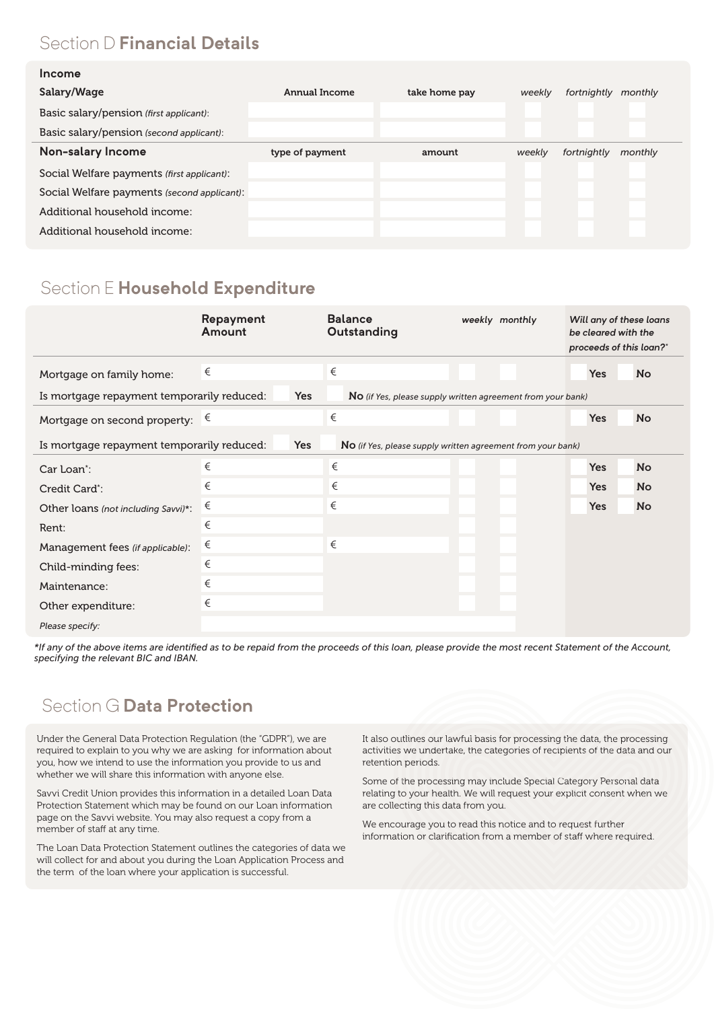# Section D **Financial Details**

| Salary/Wage                                 | Annual Income   | take home pay | weekly | fortnightly | monthly |
|---------------------------------------------|-----------------|---------------|--------|-------------|---------|
| Basic salary/pension (first applicant):     |                 |               |        |             |         |
| Basic salary/pension (second applicant):    |                 |               |        |             |         |
| Non-salary Income                           | type of payment | amount        | weekly | fortnightly | monthly |
| Social Welfare payments (first applicant):  |                 |               |        |             |         |
| Social Welfare payments (second applicant): |                 |               |        |             |         |
| Additional household income:                |                 |               |        |             |         |
| Additional household income:                |                 |               |        |             |         |

#### Section E **Household Expenditure**

|                                                                                                                                | Repayment<br>Amount | <b>Balance</b><br>Outstanding                               | weekly monthly | Will any of these loans<br>be cleared with the<br>proceeds of this loan?" |           |
|--------------------------------------------------------------------------------------------------------------------------------|---------------------|-------------------------------------------------------------|----------------|---------------------------------------------------------------------------|-----------|
| Mortgage on family home:                                                                                                       | €                   | €                                                           |                | <b>Yes</b>                                                                | <b>No</b> |
| Is mortgage repayment temporarily reduced:                                                                                     | <b>Yes</b>          | No (if Yes, please supply written agreement from your bank) |                |                                                                           |           |
| Mortgage on second property: $\xi$                                                                                             |                     | €                                                           |                | <b>Yes</b>                                                                | <b>No</b> |
| <b>Yes</b><br>Is mortgage repayment temporarily reduced:<br><b>No</b> (if Yes, please supply written agreement from your bank) |                     |                                                             |                |                                                                           |           |
| Car Loan <sup>*</sup> :                                                                                                        | €                   | $\in$                                                       |                | <b>Yes</b>                                                                | <b>No</b> |
| Credit Card*:                                                                                                                  | €                   | €                                                           |                | <b>Yes</b>                                                                | <b>No</b> |
| Other loans (not including Savvi)*:                                                                                            | €                   | €                                                           |                | <b>Yes</b>                                                                | <b>No</b> |
| Rent:                                                                                                                          | €                   |                                                             |                |                                                                           |           |
| Management fees (if applicable):                                                                                               | €                   | €                                                           |                |                                                                           |           |
| Child-minding fees:                                                                                                            | €                   |                                                             |                |                                                                           |           |
| Maintenance:                                                                                                                   | €                   |                                                             |                |                                                                           |           |
| Other expenditure:                                                                                                             | €                   |                                                             |                |                                                                           |           |
| Please specify:                                                                                                                |                     |                                                             |                |                                                                           |           |

\*If any of the above items are identified as to be repaid from the proceeds of this loan, please provide the most recent Statement of the Account, *specifying the relevant BIC and IBAN.*

#### Section G **Data Protection**

Under the General Data Protection Regulation (the "GDPR"), we are required to explain to you why we are asking for information about you, how we intend to use the information you provide to us and whether we will share this information with anyone else.

Savvi Credit Union provides this information in a detailed Loan Data Protection Statement which may be found on our Loan information page on the Savvi website. You may also request a copy from a member of staff at any time.

The Loan Data Protection Statement outlines the categories of data we will collect for and about you during the Loan Application Process and the term of the loan where your application is successful.

It also outlines our lawful basis for processing the data, the processing activities we undertake, the categories of recipients of the data and our retention periods.

Some of the processing may include Special Category Personal data relating to your health. We will request your explicit consent when we are collecting this data from you.

We encourage you to read this notice and to request further information or clarification from a member of staff where required.